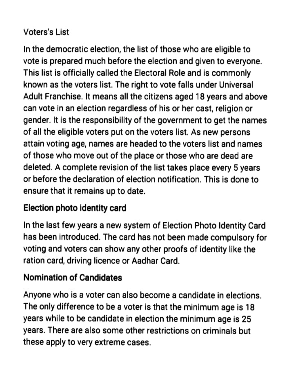### Voters's List

In the democratic election, the list of those who are eligible to vote is prepared much before the election and given to everyone. This list is officially called the Electoral Role and is commonly known as the voters list. The right to vote falls under Universal Adult Franchise. It means all the citizens aged 18 years and above can vote in an election regardless of his or her cast, religion or gender. It is the responsibility of the government to get the names of all the eligible voters put on the voters list. As new persons attain voting age, names are headed to the voters list and names of those who move out of the place or those who are dead are deleted. A complete revision of the list takes place every 5 years or before the declaration of election notification. This is done to ensure that it remains up to date.

### Election photo identity card

In the last few years a new system of Election Photo ldentity Card has been introduced. The card has not been made compulsory for voting and voters can show any other proofs of identity like the ration card, driving licence or Aadhar Card.

### Nomination of Candidates

Anyone who is a voter can also become a candidate in elections. The only difference to be a voter is that the minimum age is 18 years while to be candidate in election the minimum age is 25 years. There are also some other restrictions on criminals but these apply to very extreme cases.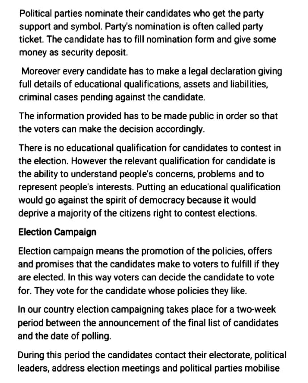Political parties nominate their candidates who get the party support and symbol. Party's nomination is often called party ticket. The candidate has to fill nomination form and give some money as security deposit,

Moreover every candidate has to make a legal declaration giving full details of educational qualifications, assets and liabilities, criminal cases pending against the candidate.

The information provided has to be made public in order so that the voters can make the decision accordingly.

There is no educational qualification for candidates to contest in the election. However the relevant qualification for candidate is the ability to understand people's concerns, problems and to represent people's interests. Putting an educational qualification would go against the spirit of democracy because it would deprive a majority of the citizens right to contest elections.

# Election Campalgn

Election campaign means the promotion of the policies, offers and promises that the candidates make to voters to fulfill if they are elected. In this way voters can decide the candidate to vote for. They vote for the candidate whose policies they like.

In our country election campaigning takes place for a two-week period between the announcement of the final list of candidates and the date of polling.

During this period the candidates contact their electorate, political leaders, address election meetings and political parties mobilise